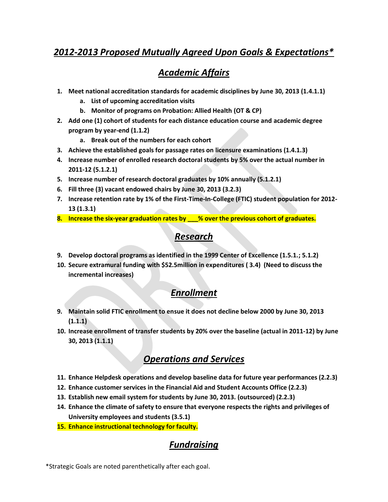### *2012-2013 Proposed Mutually Agreed Upon Goals & Expectations\**

# *Academic Affairs*

- **1. Meet national accreditation standards for academic disciplines by June 30, 2013 (1.4.1.1)**
	- **a. List of upcoming accreditation visits**
	- **b. Monitor of programs on Probation: Allied Health (OT & CP)**
- **2. Add one (1) cohort of students for each distance education course and academic degree program by year-end (1.1.2)**
	- **a. Break out of the numbers for each cohort**
- **3. Achieve the established goals for passage rates on licensure examinations (1.4.1.3)**
- **4. Increase number of enrolled research doctoral students by 5% over the actual number in 2011-12 (5.1.2.1)**
- **5. Increase number of research doctoral graduates by 10% annually (5.1.2.1)**
- **6. Fill three (3) vacant endowed chairs by June 30, 2013 (3.2.3)**
- **7. Increase retention rate by 1% of the First-Time-In-College (FTIC) student population for 2012- 13 (1.3.1)**
- **8. Increase the six-year graduation rates by \_\_\_% over the previous cohort of graduates.**

## *Research*

- **9. Develop doctoral programs as identified in the 1999 Center of Excellence (1.5.1.; 5.1.2)**
- **10. Secure extramural funding with \$52.5million in expenditures ( 3.4) (Need to discuss the incremental increases)**

#### *Enrollment*

- **9. Maintain solid FTIC enrollment to ensue it does not decline below 2000 by June 30, 2013 (1.1.1)**
- **10. Increase enrollment of transfer students by 20% over the baseline (actual in 2011-12) by June 30, 2013 (1.1.1)**

# *Operations and Services*

- **11. Enhance Helpdesk operations and develop baseline data for future year performances (2.2.3)**
- **12. Enhance customer services in the Financial Aid and Student Accounts Office (2.2.3)**
- **13. Establish new email system for students by June 30, 2013. (outsourced) (2.2.3)**
- **14. Enhance the climate of safety to ensure that everyone respects the rights and privileges of University employees and students (3.5.1)**
- **15. Enhance instructional technology for faculty.**

# *Fundraising*

\*Strategic Goals are noted parenthetically after each goal.